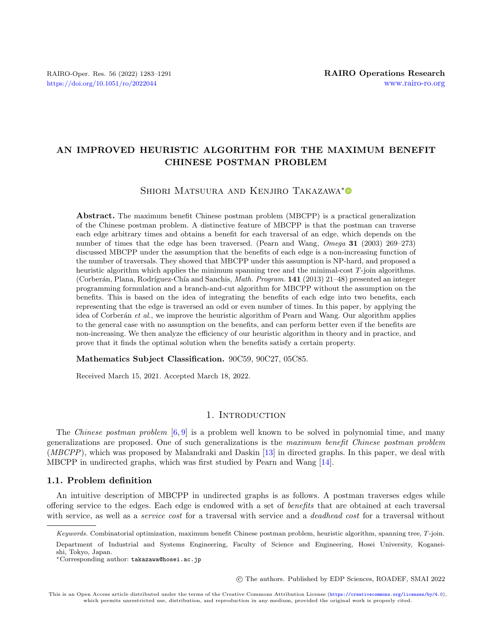## AN IMPROVED HEURISTIC ALGORITHM FOR THE MAXIMUM BENEFIT CHINESE POSTMAN PROBLEM

## SHIORI MATSUURA AND KENJIRO TAKAZAWA<sup>[\\*](https://orcid.org/0000-0002-7662-7374)</sup>

Abstract. The maximum benefit Chinese postman problem (MBCPP) is a practical generalization of the Chinese postman problem. A distinctive feature of MBCPP is that the postman can traverse each edge arbitrary times and obtains a benefit for each traversal of an edge, which depends on the number of times that the edge has been traversed. (Pearn and Wang, Omega 31 (2003) 269–273) discussed MBCPP under the assumption that the benefits of each edge is a non-increasing function of the number of traversals. They showed that MBCPP under this assumption is NP-hard, and proposed a heuristic algorithm which applies the minimum spanning tree and the minimal-cost T-join algorithms. (Corberán, Plana, Rodríguez-Chía and Sanchis, *Math. Program.* 141 (2013) 21–48) presented an integer programming formulation and a branch-and-cut algorithm for MBCPP without the assumption on the benefits. This is based on the idea of integrating the benefits of each edge into two benefits, each representing that the edge is traversed an odd or even number of times. In this paper, by applying the idea of Corberán et al., we improve the heuristic algorithm of Pearn and Wang. Our algorithm applies to the general case with no assumption on the benefits, and can perform better even if the benefits are non-increasing. We then analyze the efficiency of our heuristic algorithm in theory and in practice, and prove that it finds the optimal solution when the benefits satisfy a certain property.

Mathematics Subject Classification. 90C59, 90C27, 05C85.

Received March 15, 2021. Accepted March 18, 2022.

## 1. INTRODUCTION

The Chinese postman problem  $[6, 9]$  $[6, 9]$  $[6, 9]$  is a problem well known to be solved in polynomial time, and many generalizations are proposed. One of such generalizations is the maximum benefit Chinese postman problem (MBCPP), which was proposed by Malandraki and Daskin [\[13\]](#page-8-2) in directed graphs. In this paper, we deal with MBCPP in undirected graphs, which was first studied by Pearn and Wang [\[14\]](#page-8-3).

## 1.1. Problem definition

An intuitive description of MBCPP in undirected graphs is as follows. A postman traverses edges while offering service to the edges. Each edge is endowed with a set of benefits that are obtained at each traversal with service, as well as a *service cost* for a traversal with service and a *deadhead cost* for a traversal without

Department of Industrial and Systems Engineering, Faculty of Science and Engineering, Hosei University, Koganeishi, Tokyo, Japan.

\*Corresponding author: [takazawa@hosei.ac.jp](mailto:takazawa@hosei.ac.jp)

○c The authors. Published by EDP Sciences, ROADEF, SMAI 2022

 $Keywords.$  Combinatorial optimization, maximum benefit Chinese postman problem, heuristic algorithm, spanning tree,  $T$ -join.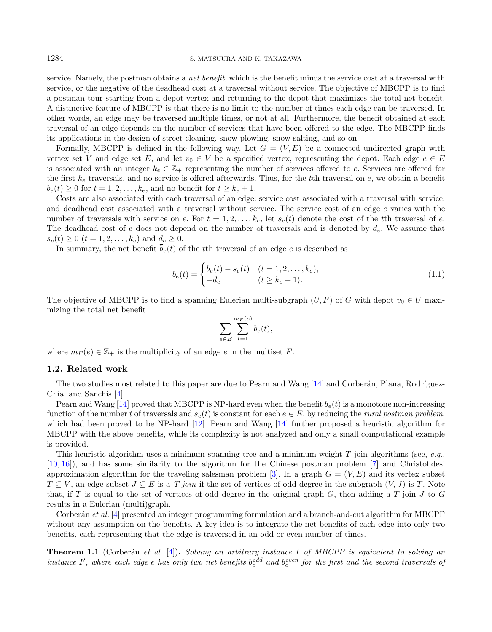1284 S. MATSUURA AND K. TAKAZAWA

service. Namely, the postman obtains a *net benefit*, which is the benefit minus the service cost at a traversal with service, or the negative of the deadhead cost at a traversal without service. The objective of MBCPP is to find a postman tour starting from a depot vertex and returning to the depot that maximizes the total net benefit. A distinctive feature of MBCPP is that there is no limit to the number of times each edge can be traversed. In other words, an edge may be traversed multiple times, or not at all. Furthermore, the benefit obtained at each traversal of an edge depends on the number of services that have been offered to the edge. The MBCPP finds its applications in the design of street cleaning, snow-plowing, snow-salting, and so on.

Formally, MBCPP is defined in the following way. Let  $G = (V, E)$  be a connected undirected graph with vertex set V and edge set E, and let  $v_0 \in V$  be a specified vertex, representing the depot. Each edge  $e \in E$ is associated with an integer  $k_e \in \mathbb{Z}_+$  representing the number of services offered to e. Services are offered for the first  $k_e$  traversals, and no service is offered afterwards. Thus, for the tth traversal on  $e$ , we obtain a benefit  $b_e(t) \geq 0$  for  $t = 1, 2, \ldots, k_e$ , and no benefit for  $t \geq k_e + 1$ .

Costs are also associated with each traversal of an edge: service cost associated with a traversal with service; and deadhead cost associated with a traversal without service. The service cost of an edge e varies with the number of traversals with service on e. For  $t = 1, 2, \ldots, k_e$ , let  $s_e(t)$  denote the cost of the the traversal of e. The deadhead cost of  $e$  does not depend on the number of traversals and is denoted by  $d_e$ . We assume that  $s_e(t) \ge 0$   $(t = 1, 2, \ldots, k_e)$  and  $d_e \ge 0$ .

In summary, the net benefit  $\bar{b}_e(t)$  of the the traversal of an edge e is described as

$$
\overline{b}_e(t) = \begin{cases} b_e(t) - s_e(t) & (t = 1, 2, \dots, k_e), \\ -d_e & (t \ge k_e + 1). \end{cases}
$$
\n(1.1)

The objective of MBCPP is to find a spanning Eulerian multi-subgraph  $(U, F)$  of G with depot  $v_0 \in U$  maximizing the total net benefit

$$
\sum_{e \in E} \sum_{t=1}^{m_F(e)} \overline{b}_e(t),
$$

where  $m_F(e) \in \mathbb{Z}_+$  is the multiplicity of an edge  $e$  in the multiset  $F$ .

## 1.2. Related work

The two studies most related to this paper are due to Pearn and Wang  $[14]$  and Corberán, Plana, Rodríguez-Chía, and Sanchis  $[4]$ .

Pearn and Wang [\[14\]](#page-8-3) proved that MBCPP is NP-hard even when the benefit  $b<sub>e</sub>(t)$  is a monotone non-increasing function of the number t of traversals and  $s_e(t)$  is constant for each  $e \in E$ , by reducing the rural postman problem, which had been proved to be NP-hard [\[12\]](#page-8-5). Pearn and Wang [\[14\]](#page-8-3) further proposed a heuristic algorithm for MBCPP with the above benefits, while its complexity is not analyzed and only a small computational example is provided.

This heuristic algorithm uses a minimum spanning tree and a minimum-weight  $T$ -join algorithms (see, e.g., [\[10,](#page-8-6) [16\]](#page-8-7)), and has some similarity to the algorithm for the Chinese postman problem [\[7\]](#page-8-8) and Christofides' approximation algorithm for the traveling salesman problem [\[3\]](#page-8-9). In a graph  $G = (V, E)$  and its vertex subset  $T \subseteq V$ , an edge subset  $J \subseteq E$  is a  $T$ -join if the set of vertices of odd degree in the subgraph  $(V, J)$  is T. Note that, if T is equal to the set of vertices of odd degree in the original graph  $G$ , then adding a  $T$ -join  $J$  to  $G$ results in a Eulerian (multi)graph.

Corberán et al. [\[4\]](#page-8-4) presented an integer programming formulation and a branch-and-cut algorithm for MBCPP without any assumption on the benefits. A key idea is to integrate the net benefits of each edge into only two benefits, each representing that the edge is traversed in an odd or even number of times.

<span id="page-1-0"></span>**Theorem 1.1** (Corberán et al.  $[4]$ ). Solving an arbitrary instance I of MBCPP is equivalent to solving an instance I', where each edge  $e$  has only two net benefits  $b_e^{odd}$  and  $b_e^{even}$  for the first and the second traversals of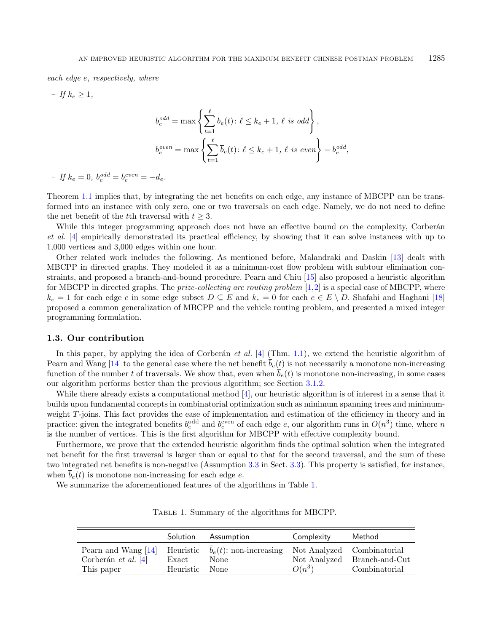each edge  $e$ , respectively, where

– If  $k_e \geq 1$ ,

$$
b_e^{odd} = \max \left\{ \sum_{t=1}^{\ell} \overline{b}_e(t) : \ell \le k_e + 1, \ell \text{ is odd} \right\},
$$
  

$$
b_e^{even} = \max \left\{ \sum_{t=1}^{\ell} \overline{b}_e(t) : \ell \le k_e + 1, \ell \text{ is even} \right\} - b_e^{odd},
$$

 $-If k_e = 0, b_e^{odd} = b_e^{even} = -d_e.$ 

Theorem [1.1](#page-1-0) implies that, by integrating the net benefits on each edge, any instance of MBCPP can be transformed into an instance with only zero, one or two traversals on each edge. Namely, we do not need to define the net benefit of the the traversal with  $t \geq 3$ .

While this integer programming approach does not have an effective bound on the complexity, Corberán et al. [\[4\]](#page-8-4) empirically demonstrated its practical efficiency, by showing that it can solve instances with up to 1,000 vertices and 3,000 edges within one hour.

Other related work includes the following. As mentioned before, Malandraki and Daskin [\[13\]](#page-8-2) dealt with MBCPP in directed graphs. They modeled it as a minimum-cost flow problem with subtour elimination constraints, and proposed a branch-and-bound procedure. Pearn and Chiu [\[15\]](#page-8-10) also proposed a heuristic algorithm for MBCPP in directed graphs. The *prize-collecting arc routing problem*  $[1,2]$  $[1,2]$  is a special case of MBCPP, where  $k_e = 1$  for each edge  $e$  in some edge subset  $D \subseteq E$  and  $k_e = 0$  for each  $e \in E \setminus D$ . Shafahi and Haghani [\[18\]](#page-8-13) proposed a common generalization of MBCPP and the vehicle routing problem, and presented a mixed integer programming formulation.

#### <span id="page-2-1"></span>1.3. Our contribution

In this paper, by applying the idea of Corberán et al.  $[4]$  (Thm. [1.1\)](#page-1-0), we extend the heuristic algorithm of Pearn and Wang [\[14\]](#page-8-3) to the general case where the net benefit  $b_e(t)$  is not necessarily a monotone non-increasing function of the number t of traversals. We show that, even when  $\bar{b}_e(t)$  is monotone non-increasing, in some cases our algorithm performs better than the previous algorithm; see Section [3.1.2.](#page-5-0)

While there already exists a computational method [\[4\]](#page-8-4), our heuristic algorithm is of interest in a sense that it builds upon fundamental concepts in combinatorial optimization such as minimum spanning trees and minimumweight  $T$ -joins. This fact provides the ease of implementation and estimation of the efficiency in theory and in practice: given the integrated benefits  $b_e^{\text{odd}}$  and  $b_e^{\text{even}}$  of each edge e, our algorithm runs in  $O(n^3)$  time, where n is the number of vertices. This is the first algorithm for MBCPP with effective complexity bound.

Furthermore, we prove that the extended heuristic algorithm finds the optimal solution when the integrated net benefit for the first traversal is larger than or equal to that for the second traversal, and the sum of these two integrated net benefits is non-negative (Assumption [3.3](#page-6-0) in Sect. [3.3\)](#page-6-1). This property is satisfied, for instance, when  $\bar{b}_e(t)$  is monotone non-increasing for each edge  $e$ .

<span id="page-2-0"></span>We summarize the aforementioned features of the algorithms in Table [1.](#page-2-0)

|                                                              | <b>Solution</b>    | Assumption                                                | Complexity                             | Method                                       |
|--------------------------------------------------------------|--------------------|-----------------------------------------------------------|----------------------------------------|----------------------------------------------|
| Pearn and Wang $[14]$<br>Corberán et al. $[4]$<br>This paper | Exact<br>Heuristic | Heuristic $\bar{b}_e(t)$ : non-increasing<br>None<br>None | Not Analyzed Combinatorial<br>$O(n^3)$ | Not Analyzed Branch-and-Cut<br>Combinatorial |

Table 1. Summary of the algorithms for MBCPP.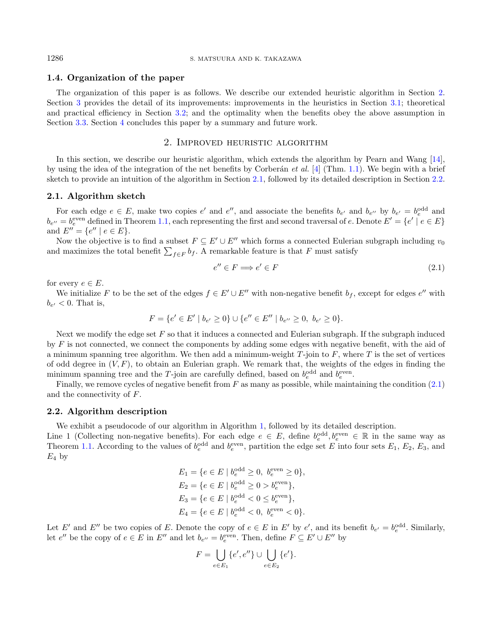## 1.4. Organization of the paper

The organization of this paper is as follows. We describe our extended heuristic algorithm in Section [2.](#page-3-0) Section [3](#page-5-1) provides the detail of its improvements: improvements in the heuristics in Section [3.1;](#page-5-2) theoretical and practical efficiency in Section [3.2;](#page-6-2) and the optimality when the benefits obey the above assumption in Section [3.3.](#page-6-1) Section [4](#page-7-0) concludes this paper by a summary and future work.

## 2. Improved heuristic algorithm

<span id="page-3-0"></span>In this section, we describe our heuristic algorithm, which extends the algorithm by Pearn and Wang [\[14\]](#page-8-3). by using the idea of the integration of the net benefits by Corberán *et al.* [\[4\]](#page-8-4) (Thm. [1.1\)](#page-1-0). We begin with a brief sketch to provide an intuition of the algorithm in Section [2.1,](#page-3-1) followed by its detailed description in Section [2.2.](#page-3-2)

#### <span id="page-3-1"></span>2.1. Algorithm sketch

For each edge  $e \in E$ , make two copies  $e'$  and  $e''$ , and associate the benefits  $b_{e'}$  and  $b_{e''}$  by  $b_{e'} = b_e^{\text{odd}}$  and  $b_{e''} = b_e^{\text{even}}$  defined in Theorem [1.1,](#page-1-0) each representing the first and second traversal of e. Denote  $E' = \{e' \mid e \in E\}$ and  $E'' = \{e'' \mid e \in E\}.$ 

Now the objective is to find a subset  $F \subseteq E' \cup E''$  which forms a connected Eulerian subgraph including  $v_0$ and maximizes the total benefit  $\sum_{f \in F} b_f$ . A remarkable feature is that F must satisfy

<span id="page-3-3"></span>
$$
e'' \in F \Longrightarrow e' \in F \tag{2.1}
$$

for every  $e \in E$ .

We initialize F to be the set of the edges  $f \in E' \cup E''$  with non-negative benefit  $b_f$ , except for edges  $e''$  with  $b_{e'} < 0$ . That is,

$$
F = \{e' \in E' \mid b_{e'} \ge 0\} \cup \{e'' \in E'' \mid b_{e''} \ge 0, \ b_{e'} \ge 0\}.
$$

Next we modify the edge set  $F$  so that it induces a connected and Eulerian subgraph. If the subgraph induced by  $F$  is not connected, we connect the components by adding some edges with negative benefit, with the aid of a minimum spanning tree algorithm. We then add a minimum-weight  $T$ -join to  $F$ , where  $T$  is the set of vertices of odd degree in  $(V, F)$ , to obtain an Eulerian graph. We remark that, the weights of the edges in finding the minimum spanning tree and the T-join are carefully defined, based on  $b_e^{\text{odd}}$  and  $b_e^{\text{even}}$ .

Finally, we remove cycles of negative benefit from  $F$  as many as possible, while maintaining the condition  $(2.1)$ and the connectivity of  $F$ .

## <span id="page-3-2"></span>2.2. Algorithm description

We exhibit a pseudocode of our algorithm in Algorithm [1,](#page-4-0) followed by its detailed description.

Line 1 (Collecting non-negative benefits). For each edge  $e \in E$ , define  $b_e^{\text{odd}}, b_e^{\text{even}} \in \mathbb{R}$  in the same way as Theorem [1.1.](#page-1-0) According to the values of  $b_e^{\text{odd}}$  and  $b_e^{\text{even}}$ , partition the edge set E into four sets  $E_1, E_2, E_3$ , and  $E_4$  by

$$
E_1 = \{ e \in E \mid b_e^{\text{odd}} \ge 0, \ b_e^{\text{even}} \ge 0 \},
$$
  
\n
$$
E_2 = \{ e \in E \mid b_e^{\text{odd}} \ge 0 > b_e^{\text{even}} \},
$$
  
\n
$$
E_3 = \{ e \in E \mid b_e^{\text{odd}} < 0 \le b_e^{\text{even}} \},
$$
  
\n
$$
E_4 = \{ e \in E \mid b_e^{\text{odd}} < 0, \ b_e^{\text{even}} < 0 \}.
$$

Let E' and E'' be two copies of E. Denote the copy of  $e \in E$  in E' by  $e'$ , and its benefit  $b_{e'} = b_e^{\text{odd}}$ . Similarly, let  $e''$  be the copy of  $e \in E$  in  $E''$  and let  $b_{e''} = b_e^{\text{even}}$ . Then, define  $F \subseteq E' \cup E''$  by

$$
F = \bigcup_{e \in E_1} \{e', e''\} \cup \bigcup_{e \in E_2} \{e'\}.
$$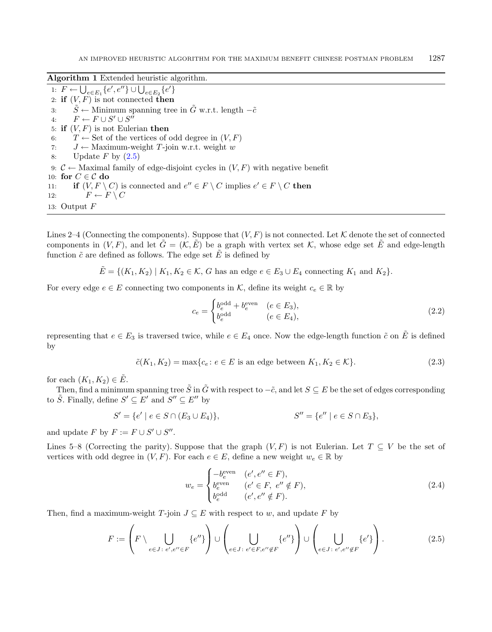Algorithm 1 Extended heuristic algorithm.

<span id="page-4-0"></span>1:  $F \leftarrow \bigcup_{e \in E_1} \{e', e''\} \cup \bigcup_{e \in E_2} \{e'\}$ 2: if  $(V, F)$  is not connected then 3:  $\tilde{S}$  ← Minimum spanning tree in  $\tilde{G}$  w.r.t. length  $-\tilde{c}$ 4:  $F \leftarrow F \cup S' \cup S''$ 5: if  $(V, F)$  is not Eulerian then 6:  $T \leftarrow$  Set of the vertices of odd degree in  $(V, F)$ 7:  $J \leftarrow$  Maximum-weight T-join w.r.t. weight w 8: Update  $F$  by  $(2.5)$ 9:  $C \leftarrow$  Maximal family of edge-disjoint cycles in  $(V, F)$  with negative benefit 10: for  $C \in \mathcal{C}$  do 11: if  $(V, F \setminus C)$  is connected and  $e'' \in F \setminus C$  implies  $e' \in F \setminus C$  then 12:  $F \leftarrow F \setminus C$ 13: Output  $F$ 

Lines 2–4 (Connecting the components). Suppose that  $(V, F)$  is not connected. Let K denote the set of connected components in  $(V, F)$ , and let  $\hat{G} = (\mathcal{K}, E)$  be a graph with vertex set  $\mathcal{K}$ , whose edge set  $\hat{E}$  and edge-length function  $\tilde{c}$  are defined as follows. The edge set  $\tilde{E}$  is defined by

 $\tilde{E} = \{(K_1, K_2) | K_1, K_2 \in \mathcal{K}, G \text{ has an edge } e \in E_3 \cup E_4 \text{ connecting } K_1 \text{ and } K_2\}.$ 

For every edge  $e \in E$  connecting two components in K, define its weight  $c_e \in \mathbb{R}$  by

<span id="page-4-3"></span><span id="page-4-2"></span>
$$
c_e = \begin{cases} b_e^{\text{odd}} + b_e^{\text{even}} & (e \in E_3), \\ b_e^{\text{odd}} & (e \in E_4), \end{cases} \tag{2.2}
$$

representing that  $e \in E_3$  is traversed twice, while  $e \in E_4$  once. Now the edge-length function  $\tilde{c}$  on  $\tilde{E}$  is defined by

$$
\tilde{c}(K_1, K_2) = \max\{c_e : e \in E \text{ is an edge between } K_1, K_2 \in \mathcal{K}\}.
$$
\n(2.3)

for each  $(K_1, K_2) \in \tilde{E}$ .

Then, find a minimum spanning tree  $\tilde{S}$  in  $\tilde{G}$  with respect to  $-\tilde{c}$ , and let  $S \subseteq E$  be the set of edges corresponding to  $\tilde{S}$ . Finally, define  $S' \subseteq E'$  and  $S'' \subseteq E''$  by

$$
S' = \{e' \mid e \in S \cap (E_3 \cup E_4)\}, \qquad S'' = \{e'' \mid e \in S \cap E_3\},\
$$

and update  $F$  by  $F := F \cup S' \cup S''$ .

Lines 5–8 (Correcting the parity). Suppose that the graph  $(V, F)$  is not Eulerian. Let  $T \subseteq V$  be the set of vertices with odd degree in  $(V, F)$ . For each  $e \in E$ , define a new weight  $w_e \in \mathbb{R}$  by

<span id="page-4-1"></span>
$$
w_e = \begin{cases} -b_e^{\text{even}} & (e', e'' \in F), \\ b_e^{\text{even}} & (e' \in F, e'' \notin F), \\ b_e^{\text{odd}} & (e', e'' \notin F). \end{cases}
$$
(2.4)

Then, find a maximum-weight  $T$ -join  $J \subseteq E$  with respect to w, and update F by

$$
F := \left( F \setminus \bigcup_{e \in J : e', e'' \in F} \{e''\} \right) \cup \left( \bigcup_{e \in J : e' \in F, e'' \notin F} \{e''\} \right) \cup \left( \bigcup_{e \in J : e', e'' \notin F} \{e'\} \right). \tag{2.5}
$$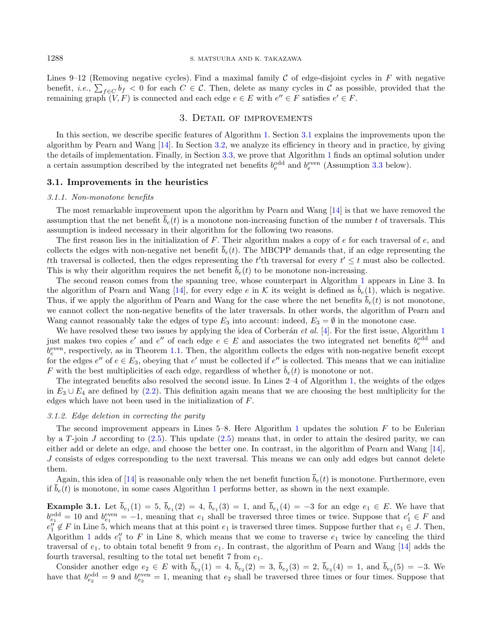Lines 9–12 (Removing negative cycles). Find a maximal family  $\mathcal C$  of edge-disjoint cycles in  $F$  with negative benefit, *i.e.*,  $\sum_{f \in C} b_f < 0$  for each  $C \in C$ . Then, delete as many cycles in C as possible, provided that the remaining graph  $(V, F)$  is connected and each edge  $e \in E$  with  $e'' \in F$  satisfies  $e' \in F$ .

## 3. Detail of improvements

<span id="page-5-1"></span>In this section, we describe specific features of Algorithm [1.](#page-4-0) Section [3.1](#page-5-2) explains the improvements upon the algorithm by Pearn and Wang [\[14\]](#page-8-3). In Section [3.2,](#page-6-2) we analyze its efficiency in theory and in practice, by giving the details of implementation. Finally, in Section [3.3,](#page-6-1) we prove that Algorithm [1](#page-4-0) finds an optimal solution under a certain assumption described by the integrated net benefits  $b_e^{\text{odd}}$  and  $b_e^{\text{even}}$  (Assumption [3.3](#page-6-0) below).

## <span id="page-5-2"></span>3.1. Improvements in the heuristics

#### 3.1.1. Non-monotone benefits

The most remarkable improvement upon the algorithm by Pearn and Wang [\[14\]](#page-8-3) is that we have removed the assumption that the net benefit  $\bar{b}_e(t)$  is a monotone non-increasing function of the number t of traversals. This assumption is indeed necessary in their algorithm for the following two reasons.

The first reason lies in the initialization of  $F$ . Their algorithm makes a copy of  $e$  for each traversal of  $e$ , and collects the edges with non-negative net benefit  $\bar{b}_e(t)$ . The MBCPP demands that, if an edge representing the th traversal is collected, then the edges representing the t'th traversal for every  $t' \leq t$  must also be collected. This is why their algorithm requires the net benefit  $\bar{b}_e(t)$  to be monotone non-increasing.

The second reason comes from the spanning tree, whose counterpart in Algorithm [1](#page-4-0) appears in Line 3. In the algorithm of Pearn and Wang [\[14\]](#page-8-3), for every edge  $e$  in  $K$  its weight is defined as  $\bar{b}_e(1)$ , which is negative. Thus, if we apply the algorithm of Pearn and Wang for the case where the net benefits  $\bar{b}_e(t)$  is not monotone. we cannot collect the non-negative benefits of the later traversals. In other words, the algorithm of Pearn and Wang cannot reasonably take the edges of type  $E_3$  into account: indeed,  $E_3 = \emptyset$  in the monotone case.

We have resolved these two issues by applying the idea of Corberán et al. [\[4\]](#page-8-4). For the first issue, Algorithm [1](#page-4-0) just makes two copies  $e'$  and  $e''$  of each edge  $e \in E$  and associates the two integrated net benefits  $b_e^{\text{odd}}$  and  $b_e^{\text{even}}$ , respectively, as in Theorem [1.1.](#page-1-0) Then, the algorithm collects the edges with non-negative benefit except for the edges  $e''$  of  $e \in E_3$ , obeying that  $e'$  must be collected if  $e''$  is collected. This means that we can initialize F with the best multiplicities of each edge, regardless of whether  $\bar{b}_e(t)$  is monotone or not.

The integrated benefits also resolved the second issue. In Lines 2–4 of Algorithm [1,](#page-4-0) the weights of the edges in  $E_3 \cup E_4$  are defined by [\(2.2\)](#page-4-2). This definition again means that we are choosing the best multiplicity for the edges which have not been used in the initialization of  $F$ .

#### <span id="page-5-0"></span>3.1.2. Edge deletion in correcting the parity

The second improvement appears in Lines  $5-8$ . Here Algorithm [1](#page-4-0) updates the solution  $F$  to be Eulerian by a  $T$ -join  $J$  according to [\(2.5\)](#page-4-1). This update (2.5) means that, in order to attain the desired parity, we can either add or delete an edge, and choose the better one. In contrast, in the algorithm of Pearn and Wang [\[14\]](#page-8-3),  $J$  consists of edges corresponding to the next traversal. This means we can only add edges but cannot delete them.

Again, this idea of [\[14\]](#page-8-3) is reasonable only when the net benefit function  $\bar{b}_e(t)$  is monotone. Furthermore, even if  $\overline{b}_e(t)$  is monotone, in some cases Algorithm [1](#page-4-0) performs better, as shown in the next example.

<span id="page-5-3"></span>**Example 3.1.** Let  $b_{e_1}(1) = 5$ ,  $b_{e_1}(2) = 4$ ,  $b_{e_1}(3) = 1$ , and  $b_{e_1}(4) = -3$  for an edge  $e_1 \in E$ . We have that  $b_{e_1}^{\text{odd}} = 10$  and  $b_{e_1}^{\text{even}} = -1$ , meaning that  $e_1$  shall be traversed three times or twice. Suppose that  $e'_1 \in F$  and  $e''_1 \notin F$  in Line 5, which means that at this point  $e_1$  is traversed three times. Suppose further that  $e_1 \in J$ . Then, Algorithm [1](#page-4-0) adds  $e''_1$  to F in Line 8, which means that we come to traverse  $e_1$  twice by canceling the third traversal of  $e_1$ , to obtain total benefit 9 from  $e_1$ . In contrast, the algorithm of Pearn and Wang [\[14\]](#page-8-3) adds the fourth traversal, resulting to the total net benefit  $7$  from  $e_1$ .

Consider another edge  $e_2 \in E$  with  $b_{e_2}(1) = 4$ ,  $b_{e_2}(2) = 3$ ,  $b_{e_2}(3) = 2$ ,  $b_{e_2}(4) = 1$ , and  $b_{e_2}(5) = -3$ . We have that  $b_{e_2}^{\text{odd}} = 9$  and  $b_{e_2}^{\text{even}} = 1$ , meaning that  $e_2$  shall be traversed three times or four times. Suppose that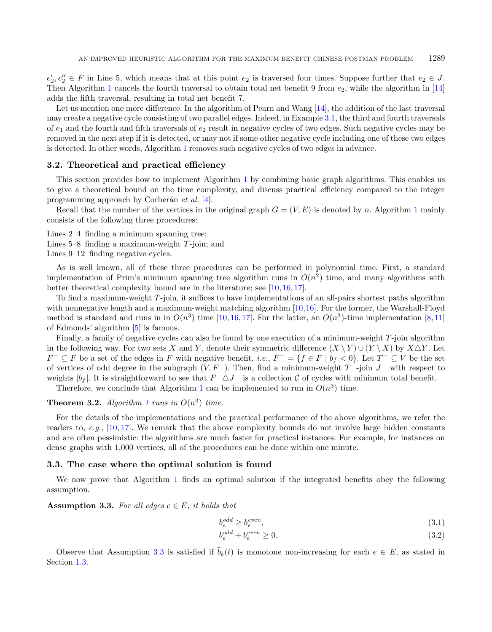$e'_2, e''_2 \in F$  in Line 5, which means that at this point  $e_2$  is traversed four times. Suppose further that  $e_2 \in J$ . Then Algorithm [1](#page-4-0) cancels the fourth traversal to obtain total net benefit 9 from  $e_2$ , while the algorithm in [\[14\]](#page-8-3) adds the fifth traversal, resulting in total net benefit 7.

Let us mention one more difference. In the algorithm of Pearn and Wang [\[14\]](#page-8-3), the addition of the last traversal may create a negative cycle consisting of two parallel edges. Indeed, in Example [3.1,](#page-5-3) the third and fourth traversals of  $e_1$  and the fourth and fifth traversals of  $e_2$  result in negative cycles of two edges. Such negative cycles may be removed in the next step if it is detected, or may not if some other negative cycle including one of these two edges is detected. In other words, Algorithm [1](#page-4-0) removes such negative cycles of two edges in advance.

### <span id="page-6-2"></span>3.2. Theoretical and practical efficiency

This section provides how to implement Algorithm [1](#page-4-0) by combining basic graph algorithms. This enables us to give a theoretical bound on the time complexity, and discuss practical efficiency compared to the integer programming approach by Corberán  $et \ al. [4]$  $et \ al. [4]$ .

Recall that the number of the vertices in the original graph  $G = (V, E)$  is denoted by n. Algorithm [1](#page-4-0) mainly consists of the following three procedures:

Lines 2–4 finding a minimum spanning tree;

Lines  $5-8$  finding a maximum-weight  $T$ -join; and

Lines 9–12 finding negative cycles.

As is well known, all of these three procedures can be performed in polynomial time. First, a standard implementation of Prim's minimum spanning tree algorithm runs in  $O(n^2)$  time, and many algorithms with better theoretical complexity bound are in the literature; see [\[10,](#page-8-6) [16,](#page-8-7) [17\]](#page-8-14).

To find a maximum-weight  $T$ -join, it suffices to have implementations of an all-pairs shortest paths algorithm with nonnegative length and a maximum-weight matching algorithm [\[10,](#page-8-6)[16\]](#page-8-7). For the former, the Warshall-Floyd method is standard and runs in in  $O(n^3)$  time [\[10,](#page-8-6) [16,](#page-8-7) [17\]](#page-8-14). For the latter, an  $O(n^3)$ -time implementation [\[8,](#page-8-15) [11\]](#page-8-16) of Edmonds' algorithm [\[5\]](#page-8-17) is famous.

Finally, a family of negative cycles can also be found by one execution of a minimum-weight  $T$ -join algorithm in the following way. For two sets X and Y, denote their symmetric difference  $(X \ Y) \cup (Y \ X)$  by  $X \triangle Y$ . Let  $F^- \subseteq F$  be a set of the edges in F with negative benefit, *i.e.*,  $F^- = \{f \in F \mid b_f < 0\}$ . Let  $T^- \subseteq V$  be the set of vertices of odd degree in the subgraph  $(V, F^-)$ . Then, find a minimum-weight  $T^-$ -join  $J^-$  with respect to weights  $|b_f|$ . It is straightforward to see that  $F^-\triangle J^-$  is a collection C of cycles with minimum total benefit.

Therefore, we conclude that Algorithm [1](#page-4-0) can be implemented to run in  $O(n^3)$  time.

**Theorem 3.2.** Algorithm [1](#page-4-0) runs in  $O(n^3)$  time.

For the details of the implementations and the practical performance of the above algorithms, we refer the readers to, e.g.,  $[10, 17]$  $[10, 17]$  $[10, 17]$ . We remark that the above complexity bounds do not involve large hidden constants and are often pessimistic: the algorithms are much faster for practical instances. For example, for instances on dense graphs with 1,000 vertices, all of the procedures can be done within one minute.

#### <span id="page-6-1"></span>3.3. The case where the optimal solution is found

We now prove that Algorithm [1](#page-4-0) finds an optimal solution if the integrated benefits obey the following assumption.

<span id="page-6-0"></span>**Assumption 3.3.** For all edges  $e \in E$ , it holds that

$$
b_e^{odd} \ge b_e^{even},\tag{3.1}
$$

<span id="page-6-3"></span>
$$
b_e^{odd} + b_e^{even} \ge 0. \tag{3.2}
$$

Observe that Assumption [3.3](#page-6-0) is satisfied if  $\overline{b}_e(t)$  is monotone non-increasing for each  $e \in E$ , as stated in Section [1.3.](#page-2-1)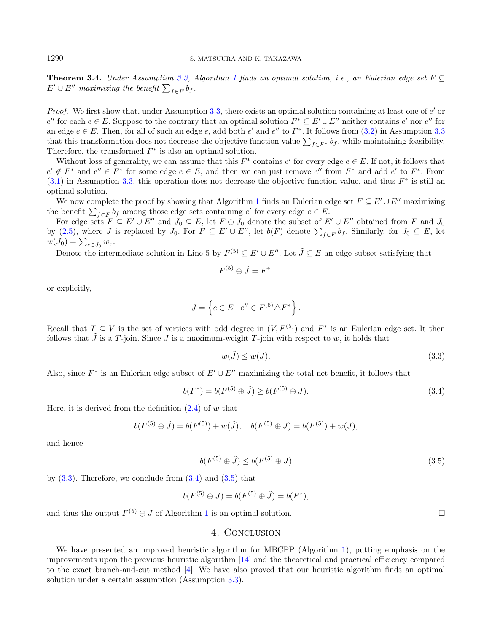**Theorem 3.4.** Under Assumption [3.3,](#page-6-0) Algorithm [1](#page-4-0) finds an optimal solution, i.e., an Eulerian edge set  $F \subseteq$  $E' \cup E''$  maximizing the benefit  $\sum_{f \in F} b_f$ .

Proof. We first show that, under Assumption  $3.3$ , there exists an optimal solution containing at least one of  $e'$  or  $e''$  for each  $e \in E$ . Suppose to the contrary that an optimal solution  $F^* \subseteq E' \cup E''$  neither contains  $e'$  nor  $e''$  for an edge  $e \in E$ . Then, for all of such an edge e, add both e' and e'' to  $F^*$ . It follows from  $(3.2)$  in Assumption [3.3](#page-6-0) that this transformation does not decrease the objective function value  $\sum_{f \in F^*} b_f$ , while maintaining feasibility. Therefore, the transformed  $F^*$  is also an optimal solution.

Without loss of generality, we can assume that this  $F^*$  contains  $e'$  for every edge  $e \in E$ . If not, it follows that  $e' \notin F^*$  and  $e'' \in F^*$  for some edge  $e \in E$ , and then we can just remove  $e''$  from  $F^*$  and add  $e'$  to  $F^*$ . From  $(3.1)$  in Assumption [3.3,](#page-6-0) this operation does not decrease the objective function value, and thus  $F^*$  is still an optimal solution.

We now complete the proof by showing that Algorithm [1](#page-4-0) finds an Eulerian edge set  $F \subseteq E' \cup E''$  maximizing the benefit  $\sum_{f \in F} b_f$  among those edge sets containing  $e'$  for every edge  $e \in E$ .

For edge sets  $F \subseteq E' \cup E''$  and  $J_0 \subseteq E$ , let  $F \oplus J_0$  denote the subset of  $E' \cup E''$  obtained from F and  $J_0$ by [\(2.5\)](#page-4-1), where J is replaced by  $J_0$ . For  $F \subseteq E' \cup E''$ , let  $b(F)$  denote  $\sum_{f \in F} b_f$ . Similarly, for  $J_0 \subseteq E$ , let  $w(J_0) = \sum_{e \in J_0} w_e.$ 

Denote the intermediate solution in Line 5 by  $F^{(5)} \subseteq E' \cup E''$ . Let  $\tilde{J} \subseteq E$  an edge subset satisfying that

<span id="page-7-2"></span><span id="page-7-1"></span>
$$
F^{(5)} \oplus \tilde{J} = F^*,
$$

or explicitly,

$$
\tilde{J} = \left\{ e \in E \mid e'' \in F^{(5)} \triangle F^* \right\}.
$$

Recall that  $T \subseteq V$  is the set of vertices with odd degree in  $(V, F^{(5)})$  and  $F^*$  is an Eulerian edge set. It then follows that  $\tilde{J}$  is a  $T$ -join. Since  $J$  is a maximum-weight  $T$ -join with respect to  $w$ , it holds that

$$
w(\tilde{J}) \le w(J). \tag{3.3}
$$

Also, since  $F^*$  is an Eulerian edge subset of  $E' \cup E''$  maximizing the total net benefit, it follows that

$$
b(F^*) = b(F^{(5)} \oplus \tilde{J}) \ge b(F^{(5)} \oplus J). \tag{3.4}
$$

Here, it is derived from the definition  $(2.4)$  of w that

$$
b(F^{(5)} \oplus \tilde{J}) = b(F^{(5)}) + w(\tilde{J}), \quad b(F^{(5)} \oplus J) = b(F^{(5)}) + w(J),
$$

and hence

$$
b(F^{(5)} \oplus \tilde{J}) \le b(F^{(5)} \oplus J) \tag{3.5}
$$

by  $(3.3)$ . Therefore, we conclude from  $(3.4)$  and  $(3.5)$  that

$$
b(F^{(5)}\oplus J)=b(F^{(5)}\oplus \tilde J)=b(F^*),
$$

<span id="page-7-0"></span>and thus the output  $F^{(5)} \oplus J$  of Algorithm [1](#page-4-0) is an optimal solution.

### 4. Conclusion

We have presented an improved heuristic algorithm for MBCPP (Algorithm [1\)](#page-4-0), putting emphasis on the improvements upon the previous heuristic algorithm [\[14\]](#page-8-3) and the theoretical and practical efficiency compared to the exact branch-and-cut method [\[4\]](#page-8-4). We have also proved that our heuristic algorithm finds an optimal solution under a certain assumption (Assumption [3.3\)](#page-6-0).

<span id="page-7-3"></span>